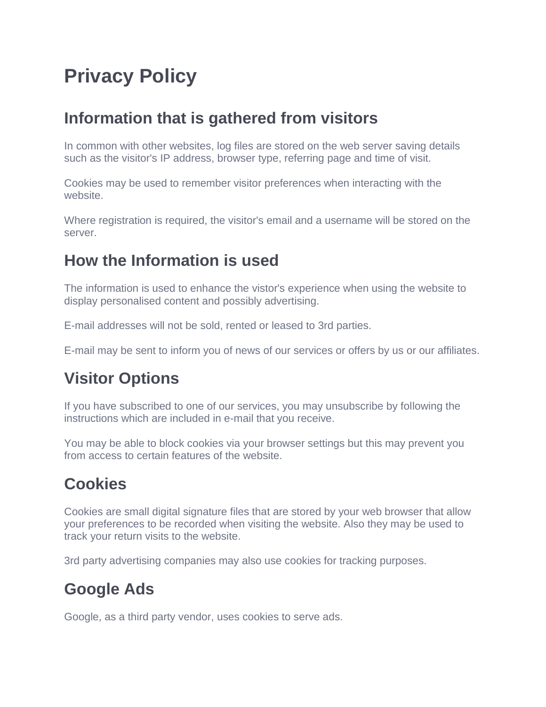# **Privacy Policy**

#### **Information that is gathered from visitors**

In common with other websites, log files are stored on the web server saving details such as the visitor's IP address, browser type, referring page and time of visit.

Cookies may be used to remember visitor preferences when interacting with the website.

Where registration is required, the visitor's email and a username will be stored on the server.

#### **How the Information is used**

The information is used to enhance the vistor's experience when using the website to display personalised content and possibly advertising.

E-mail addresses will not be sold, rented or leased to 3rd parties.

E-mail may be sent to inform you of news of our services or offers by us or our affiliates.

# **Visitor Options**

If you have subscribed to one of our services, you may unsubscribe by following the instructions which are included in e-mail that you receive.

You may be able to block cookies via your browser settings but this may prevent you from access to certain features of the website.

# **Cookies**

Cookies are small digital signature files that are stored by your web browser that allow your preferences to be recorded when visiting the website. Also they may be used to track your return visits to the website.

3rd party advertising companies may also use cookies for tracking purposes.

### **Google Ads**

Google, as a third party vendor, uses cookies to serve ads.